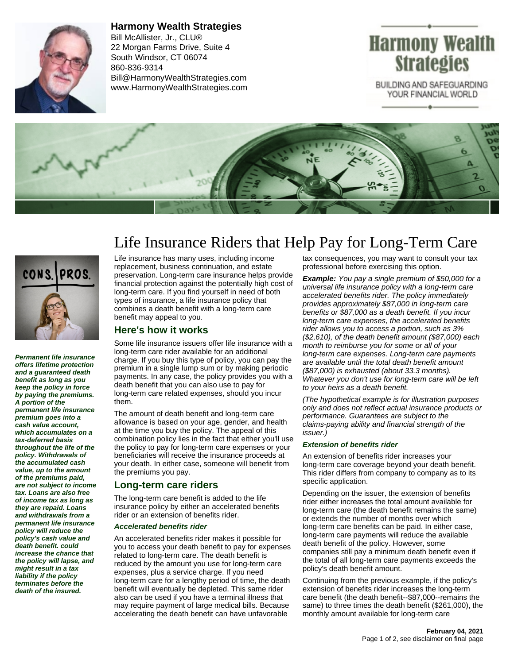

**Harmony Wealth Strategies** Bill McAllister, Jr., CLU® 22 Morgan Farms Drive, Suite 4 South Windsor, CT 06074 860-836-9314 Bill@HarmonyWealthStrategies.com www.HarmonyWealthStrategies.com

# Harmony Wealth **Strategies**

BUILDING AND SAFEGUARDING YOUR FINANCIAL WORLD





**Permanent life insurance offers lifetime protection and a guaranteed death benefit as long as you keep the policy in force by paying the premiums. A portion of the permanent life insurance premium goes into a cash value account, which accumulates on a tax-deferred basis throughout the life of the policy. Withdrawals of the accumulated cash value, up to the amount of the premiums paid, are not subject to income tax. Loans are also free of income tax as long as they are repaid. Loans and withdrawals from a permanent life insurance policy will reduce the policy's cash value and death benefit. could increase the chance that the policy will lapse, and might result in a tax liability if the policy terminates before the death of the insured.**

## Life Insurance Riders that Help Pay for Long-Term Care

Life insurance has many uses, including income replacement, business continuation, and estate preservation. Long-term care insurance helps provide financial protection against the potentially high cost of long-term care. If you find yourself in need of both types of insurance, a life insurance policy that combines a death benefit with a long-term care benefit may appeal to you.

## **Here's how it works**

Some life insurance issuers offer life insurance with a long-term care rider available for an additional charge. If you buy this type of policy, you can pay the premium in a single lump sum or by making periodic payments. In any case, the policy provides you with a death benefit that you can also use to pay for long-term care related expenses, should you incur them.

The amount of death benefit and long-term care allowance is based on your age, gender, and health at the time you buy the policy. The appeal of this combination policy lies in the fact that either you'll use the policy to pay for long-term care expenses or your beneficiaries will receive the insurance proceeds at your death. In either case, someone will benefit from the premiums you pay.

## **Long-term care riders**

The long-term care benefit is added to the life insurance policy by either an accelerated benefits rider or an extension of benefits rider.

#### **Accelerated benefits rider**

An accelerated benefits rider makes it possible for you to access your death benefit to pay for expenses related to long-term care. The death benefit is reduced by the amount you use for long-term care expenses, plus a service charge. If you need long-term care for a lengthy period of time, the death benefit will eventually be depleted. This same rider also can be used if you have a terminal illness that may require payment of large medical bills. Because accelerating the death benefit can have unfavorable

tax consequences, you may want to consult your tax professional before exercising this option.

**Example:** You pay a single premium of \$50,000 for a universal life insurance policy with a long-term care accelerated benefits rider. The policy immediately provides approximately \$87,000 in long-term care benefits or \$87,000 as a death benefit. If you incur long-term care expenses, the accelerated benefits rider allows you to access a portion, such as 3% (\$2,610), of the death benefit amount (\$87,000) each month to reimburse you for some or all of your long-term care expenses. Long-term care payments are available until the total death benefit amount (\$87,000) is exhausted (about 33.3 months). Whatever you don't use for long-term care will be left to your heirs as a death benefit.

(The hypothetical example is for illustration purposes only and does not reflect actual insurance products or performance. Guarantees are subject to the claims-paying ability and financial strength of the issuer.)

#### **Extension of benefits rider**

An extension of benefits rider increases your long-term care coverage beyond your death benefit. This rider differs from company to company as to its specific application.

Depending on the issuer, the extension of benefits rider either increases the total amount available for long-term care (the death benefit remains the same) or extends the number of months over which long-term care benefits can be paid. In either case, long-term care payments will reduce the available death benefit of the policy. However, some companies still pay a minimum death benefit even if the total of all long-term care payments exceeds the policy's death benefit amount.

Continuing from the previous example, if the policy's extension of benefits rider increases the long-term care benefit (the death benefit--\$87,000--remains the same) to three times the death benefit (\$261,000), the monthly amount available for long-term care